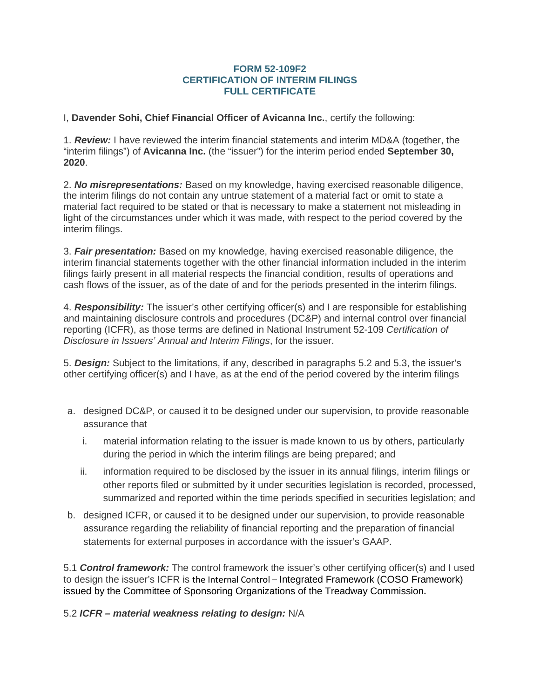## **FORM 52-109F2 CERTIFICATION OF INTERIM FILINGS FULL CERTIFICATE**

I, **Davender Sohi, Chief Financial Officer of Avicanna Inc.**, certify the following:

1. *Review:* I have reviewed the interim financial statements and interim MD&A (together, the "interim filings") of **Avicanna Inc.** (the "issuer") for the interim period ended **September 30, 2020**.

2. *No misrepresentations:* Based on my knowledge, having exercised reasonable diligence, the interim filings do not contain any untrue statement of a material fact or omit to state a material fact required to be stated or that is necessary to make a statement not misleading in light of the circumstances under which it was made, with respect to the period covered by the interim filings.

3. *Fair presentation:* Based on my knowledge, having exercised reasonable diligence, the interim financial statements together with the other financial information included in the interim filings fairly present in all material respects the financial condition, results of operations and cash flows of the issuer, as of the date of and for the periods presented in the interim filings.

4. *Responsibility:* The issuer's other certifying officer(s) and I are responsible for establishing and maintaining disclosure controls and procedures (DC&P) and internal control over financial reporting (ICFR), as those terms are defined in National Instrument 52-109 *Certification of Disclosure in Issuers' Annual and Interim Filings*, for the issuer.

5. *Design:* Subject to the limitations, if any, described in paragraphs 5.2 and 5.3, the issuer's other certifying officer(s) and I have, as at the end of the period covered by the interim filings

- a. designed DC&P, or caused it to be designed under our supervision, to provide reasonable assurance that
	- i. material information relating to the issuer is made known to us by others, particularly during the period in which the interim filings are being prepared; and
	- ii. information required to be disclosed by the issuer in its annual filings, interim filings or other reports filed or submitted by it under securities legislation is recorded, processed, summarized and reported within the time periods specified in securities legislation; and
- b. designed ICFR, or caused it to be designed under our supervision, to provide reasonable assurance regarding the reliability of financial reporting and the preparation of financial statements for external purposes in accordance with the issuer's GAAP.

5.1 *Control framework:* The control framework the issuer's other certifying officer(s) and I used to design the issuer's ICFR is the Internal Control – Integrated Framework (COSO Framework) issued by the Committee of Sponsoring Organizations of the Treadway Commission**.**

5.2 *ICFR – material weakness relating to design:* N/A